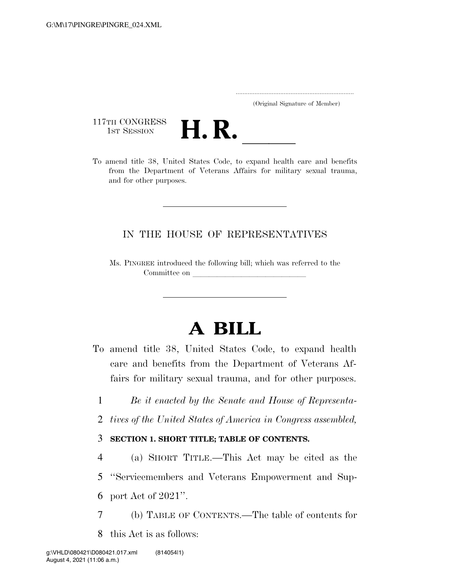..................................................................... (Original Signature of Member)

117TH CONGRESS<br>1st Session



117TH CONGRESS<br>1st SESSION<br>To amend title 38, United States Code, to expand health care and benefits from the Department of Veterans Affairs for military sexual trauma, and for other purposes.

#### IN THE HOUSE OF REPRESENTATIVES

Ms. PINGREE introduced the following bill; which was referred to the Committee on

# **A BILL**

- To amend title 38, United States Code, to expand health care and benefits from the Department of Veterans Affairs for military sexual trauma, and for other purposes.
	- 1 *Be it enacted by the Senate and House of Representa-*
	- 2 *tives of the United States of America in Congress assembled,*

#### 3 **SECTION 1. SHORT TITLE; TABLE OF CONTENTS.**

- 4 (a) SHORT TITLE.—This Act may be cited as the 5 ''Servicemembers and Veterans Empowerment and Sup-
- 6 port Act of 2021''.
- 7 (b) TABLE OF CONTENTS.—The table of contents for
- 8 this Act is as follows: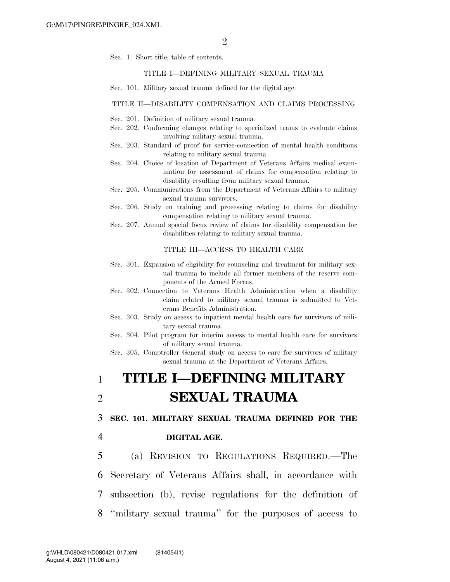Sec. 1. Short title; table of contents.

#### TITLE I—DEFINING MILITARY SEXUAL TRAUMA

Sec. 101. Military sexual trauma defined for the digital age.

#### TITLE II—DISABILITY COMPENSATION AND CLAIMS PROCESSING

- Sec. 201. Definition of military sexual trauma.
- Sec. 202. Conforming changes relating to specialized teams to evaluate claims involving military sexual trauma.
- Sec. 203. Standard of proof for service-connection of mental health conditions relating to military sexual trauma.
- Sec. 204. Choice of location of Department of Veterans Affairs medical examination for assessment of claims for compensation relating to disability resulting from military sexual trauma.
- Sec. 205. Communications from the Department of Veterans Affairs to military sexual trauma survivors.
- Sec. 206. Study on training and processing relating to claims for disability compensation relating to military sexual trauma.
- Sec. 207. Annual special focus review of claims for disability compensation for disabilities relating to military sexual trauma.

#### TITLE III—ACCESS TO HEALTH CARE

- Sec. 301. Expansion of eligibility for counseling and treatment for military sexual trauma to include all former members of the reserve components of the Armed Forces.
- Sec. 302. Connection to Veterans Health Administration when a disability claim related to military sexual trauma is submitted to Veterans Benefits Administration.
- Sec. 303. Study on access to inpatient mental health care for survivors of military sexual trauma.
- Sec. 304. Pilot program for interim access to mental health care for survivors of military sexual trauma.

Sec. 305. Comptroller General study on access to care for survivors of military sexual trauma at the Department of Veterans Affairs.

## 1 **TITLE I—DEFINING MILITARY**  2 **SEXUAL TRAUMA**

3 **SEC. 101. MILITARY SEXUAL TRAUMA DEFINED FOR THE** 

#### 4 **DIGITAL AGE.**

 (a) REVISION TO REGULATIONS REQUIRED.—The Secretary of Veterans Affairs shall, in accordance with subsection (b), revise regulations for the definition of ''military sexual trauma'' for the purposes of access to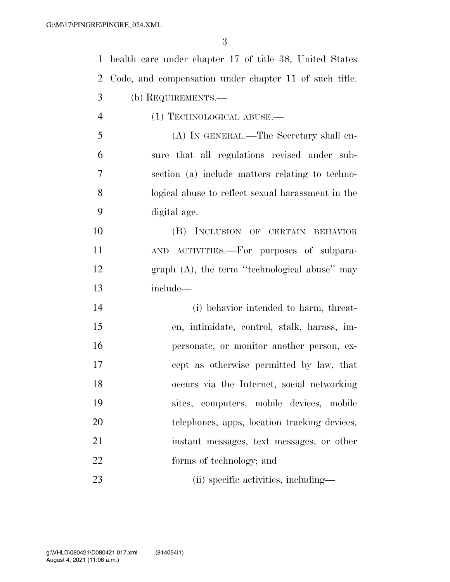| $\mathbf 1$    | health care under chapter 17 of title 38, United States |
|----------------|---------------------------------------------------------|
| $\overline{2}$ | Code, and compensation under chapter 11 of such title.  |
| 3              | (b) REQUIREMENTS.—                                      |
| $\overline{4}$ | (1) TECHNOLOGICAL ABUSE.—                               |
| 5              | (A) IN GENERAL.—The Secretary shall en-                 |
| 6              | sure that all regulations revised under sub-            |
| $\overline{7}$ | section (a) include matters relating to techno-         |
| 8              | logical abuse to reflect sexual harassment in the       |
| 9              | digital age.                                            |
| 10             | (B) INCLUSION OF CERTAIN BEHAVIOR                       |
| 11             | AND ACTIVITIES.—For purposes of subpara-                |
| 12             | graph $(A)$ , the term "technological abuse" may        |
| 13             | include—                                                |
| 14             | (i) behavior intended to harm, threat-                  |
| 15             | en, intimidate, control, stalk, harass, im-             |
| 16             | personate, or monitor another person, ex-               |
| 17             | cept as otherwise permitted by law, that                |
| 18             | occurs via the Internet, social networking              |
| 19             | sites, computers, mobile devices, mobile                |
| 20             | telephones, apps, location tracking devices,            |
| 21             | instant messages, text messages, or other               |
| 22             | forms of technology; and                                |
| 23             | (ii) specific activities, including—                    |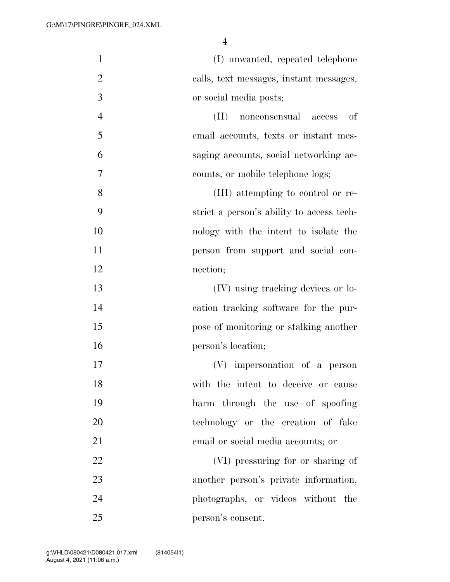| $\mathbf{1}$   | (I) unwanted, repeated telephone              |
|----------------|-----------------------------------------------|
| $\overline{2}$ | calls, text messages, instant messages,       |
| 3              | or social media posts;                        |
| $\overline{4}$ | <sub>of</sub><br>(II)<br>nonconsensual access |
| 5              | email accounts, texts or instant mes-         |
| 6              | saging accounts, social networking ac-        |
| 7              | counts, or mobile telephone logs;             |
| 8              | (III) attempting to control or re-            |
| 9              | strict a person's ability to access tech-     |
| 10             | nology with the intent to isolate the         |
| 11             | person from support and social con-           |
| 12             | nection;                                      |
| 13             | (IV) using tracking devices or lo-            |
| 14             | cation tracking software for the pur-         |
| 15             | pose of monitoring or stalking another        |
| 16             | person's location;                            |
| 17             | (V) impersonation of a person                 |
| 18             | with the intent to deceive or cause           |
| 19             | harm through the use of spoofing              |
| 20             | technology or the creation of fake            |
| 21             | email or social media accounts; or            |
| 22             | (VI) pressuring for or sharing of             |
| 23             | another person's private information,         |
| 24             | photographs, or videos without the            |
| 25             | person's consent.                             |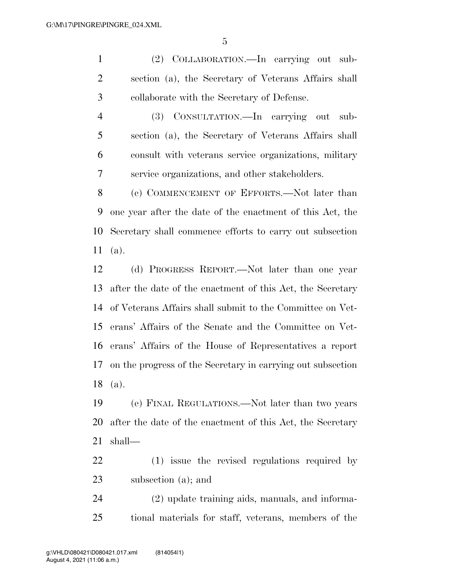(2) COLLABORATION.—In carrying out sub- section (a), the Secretary of Veterans Affairs shall collaborate with the Secretary of Defense.

 (3) CONSULTATION.—In carrying out sub- section (a), the Secretary of Veterans Affairs shall consult with veterans service organizations, military service organizations, and other stakeholders.

8 (c) COMMENCEMENT OF EFFORTS.—Not later than one year after the date of the enactment of this Act, the Secretary shall commence efforts to carry out subsection (a).

 (d) PROGRESS REPORT.—Not later than one year after the date of the enactment of this Act, the Secretary of Veterans Affairs shall submit to the Committee on Vet- erans' Affairs of the Senate and the Committee on Vet- erans' Affairs of the House of Representatives a report on the progress of the Secretary in carrying out subsection (a).

 (e) FINAL REGULATIONS.—Not later than two years after the date of the enactment of this Act, the Secretary shall—

 (1) issue the revised regulations required by subsection (a); and

 (2) update training aids, manuals, and informa-tional materials for staff, veterans, members of the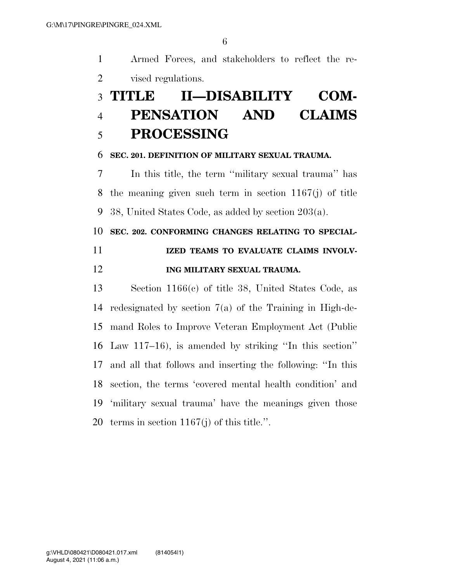Armed Forces, and stakeholders to reflect the re-vised regulations.

# **TITLE II—DISABILITY COM- PENSATION AND CLAIMS PROCESSING**

#### **SEC. 201. DEFINITION OF MILITARY SEXUAL TRAUMA.**

 In this title, the term ''military sexual trauma'' has the meaning given such term in section 1167(j) of title 38, United States Code, as added by section 203(a).

#### **SEC. 202. CONFORMING CHANGES RELATING TO SPECIAL-**

### **IZED TEAMS TO EVALUATE CLAIMS INVOLV-ING MILITARY SEXUAL TRAUMA.**

 Section 1166(c) of title 38, United States Code, as redesignated by section 7(a) of the Training in High-de- mand Roles to Improve Veteran Employment Act (Public Law 117–16), is amended by striking ''In this section'' and all that follows and inserting the following: ''In this section, the terms 'covered mental health condition' and 'military sexual trauma' have the meanings given those terms in section 1167(j) of this title.''.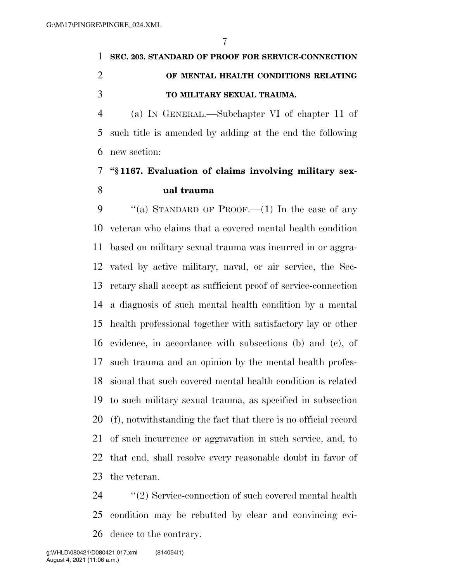## **SEC. 203. STANDARD OF PROOF FOR SERVICE-CONNECTION OF MENTAL HEALTH CONDITIONS RELATING TO MILITARY SEXUAL TRAUMA.**

 (a) IN GENERAL.—Subchapter VI of chapter 11 of such title is amended by adding at the end the following new section:

### **''§ 1167. Evaluation of claims involving military sex-ual trauma**

 $\cdot$  "(a) STANDARD OF PROOF.—(1) In the case of any veteran who claims that a covered mental health condition based on military sexual trauma was incurred in or aggra- vated by active military, naval, or air service, the Sec- retary shall accept as sufficient proof of service-connection a diagnosis of such mental health condition by a mental health professional together with satisfactory lay or other evidence, in accordance with subsections (b) and (c), of such trauma and an opinion by the mental health profes- sional that such covered mental health condition is related to such military sexual trauma, as specified in subsection (f), notwithstanding the fact that there is no official record of such incurrence or aggravation in such service, and, to that end, shall resolve every reasonable doubt in favor of the veteran.

 ''(2) Service-connection of such covered mental health condition may be rebutted by clear and convincing evi-dence to the contrary.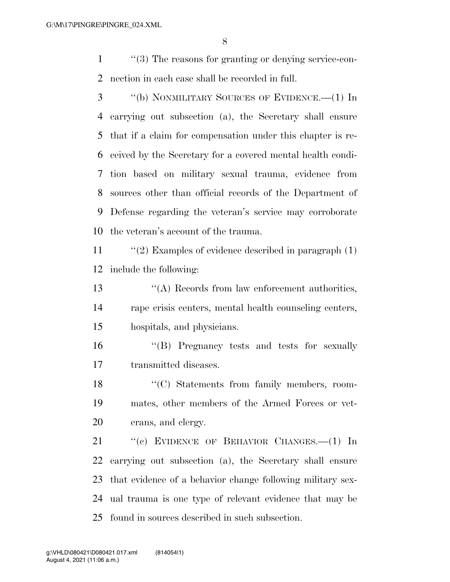''(3) The reasons for granting or denying service-con-nection in each case shall be recorded in full.

 ''(b) NONMILITARY SOURCES OF EVIDENCE.—(1) In carrying out subsection (a), the Secretary shall ensure that if a claim for compensation under this chapter is re- ceived by the Secretary for a covered mental health condi- tion based on military sexual trauma, evidence from sources other than official records of the Department of Defense regarding the veteran's service may corroborate the veteran's account of the trauma.

 ''(2) Examples of evidence described in paragraph (1) include the following:

 ''(A) Records from law enforcement authorities, rape crisis centers, mental health counseling centers, hospitals, and physicians.

 ''(B) Pregnancy tests and tests for sexually transmitted diseases.

18 "(C) Statements from family members, room- mates, other members of the Armed Forces or vet-erans, and clergy.

21 "(c) EVIDENCE OF BEHAVIOR CHANGES. - (1) In carrying out subsection (a), the Secretary shall ensure that evidence of a behavior change following military sex- ual trauma is one type of relevant evidence that may be found in sources described in such subsection.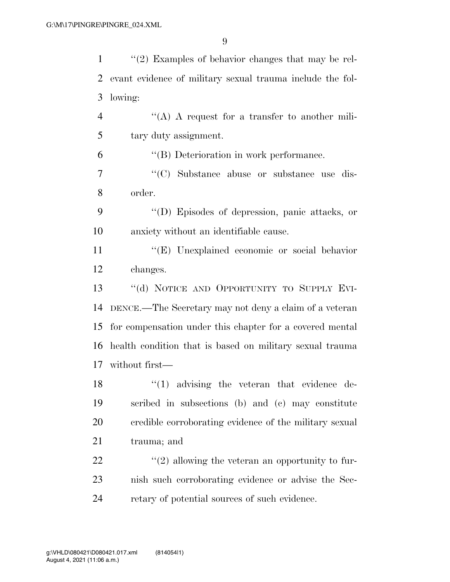| $\mathbf{1}$   | $\lq(2)$ Examples of behavior changes that may be rel-    |
|----------------|-----------------------------------------------------------|
| $\overline{2}$ | evant evidence of military sexual trauma include the fol- |
| 3              | lowing:                                                   |
| $\overline{4}$ | "(A) A request for a transfer to another mili-            |
| 5              | tary duty assignment.                                     |
| 6              | $\lq\lq (B)$ Deterioration in work performance.           |
| 7              | "(C) Substance abuse or substance use dis-                |
| 8              | order.                                                    |
| 9              | "(D) Episodes of depression, panic attacks, or            |
| 10             | anxiety without an identifiable cause.                    |
| 11             | "(E) Unexplained economic or social behavior              |
| 12             | changes.                                                  |
| 13             | "(d) NOTICE AND OPPORTUNITY TO SUPPLY EVI-                |
| 14             | DENCE.—The Secretary may not deny a claim of a veteran    |
| 15             | for compensation under this chapter for a covered mental  |
| 16             | health condition that is based on military sexual trauma  |
|                | 17 without first—                                         |
| 18             | $(1)$ advising the veteran that evidence de-              |
| 19             | scribed in subsections (b) and (c) may constitute         |
| 20             | credible corroborating evidence of the military sexual    |
| 21             | trauma; and                                               |
| 22             | $\lq(2)$ allowing the veteran an opportunity to fur-      |
| 23             | nish such corroborating evidence or advise the Sec-       |
| 24             | retary of potential sources of such evidence.             |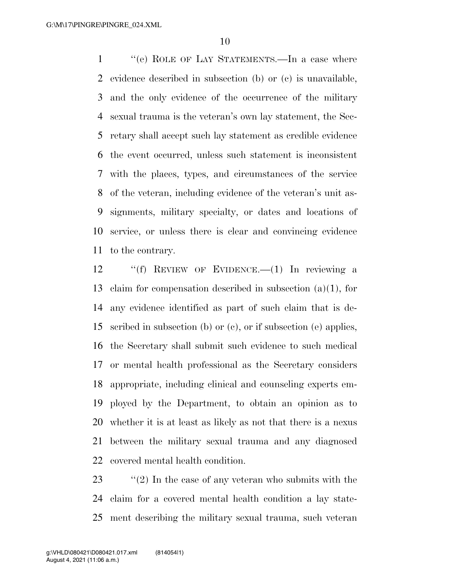''(e) ROLE OF LAY STATEMENTS.—In a case where evidence described in subsection (b) or (c) is unavailable, and the only evidence of the occurrence of the military sexual trauma is the veteran's own lay statement, the Sec- retary shall accept such lay statement as credible evidence the event occurred, unless such statement is inconsistent with the places, types, and circumstances of the service of the veteran, including evidence of the veteran's unit as- signments, military specialty, or dates and locations of service, or unless there is clear and convincing evidence to the contrary.

 ''(f) REVIEW OF EVIDENCE.—(1) In reviewing a claim for compensation described in subsection (a)(1), for any evidence identified as part of such claim that is de- scribed in subsection (b) or (c), or if subsection (e) applies, the Secretary shall submit such evidence to such medical or mental health professional as the Secretary considers appropriate, including clinical and counseling experts em- ployed by the Department, to obtain an opinion as to whether it is at least as likely as not that there is a nexus between the military sexual trauma and any diagnosed covered mental health condition.

23 ''(2) In the case of any veteran who submits with the claim for a covered mental health condition a lay state-ment describing the military sexual trauma, such veteran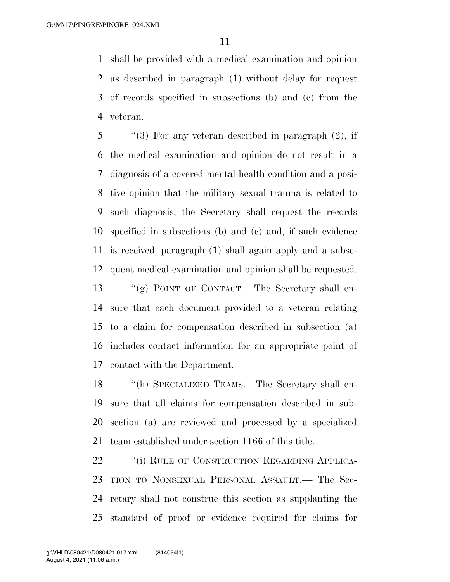shall be provided with a medical examination and opinion as described in paragraph (1) without delay for request of records specified in subsections (b) and (c) from the veteran.

 ''(3) For any veteran described in paragraph (2), if the medical examination and opinion do not result in a diagnosis of a covered mental health condition and a posi- tive opinion that the military sexual trauma is related to such diagnosis, the Secretary shall request the records specified in subsections (b) and (c) and, if such evidence is received, paragraph (1) shall again apply and a subse-quent medical examination and opinion shall be requested.

 ''(g) POINT OF CONTACT.—The Secretary shall en- sure that each document provided to a veteran relating to a claim for compensation described in subsection (a) includes contact information for an appropriate point of contact with the Department.

 ''(h) SPECIALIZED TEAMS.—The Secretary shall en- sure that all claims for compensation described in sub- section (a) are reviewed and processed by a specialized team established under section 1166 of this title.

22 "(i) RULE OF CONSTRUCTION REGARDING APPLICA- TION TO NONSEXUAL PERSONAL ASSAULT.— The Sec- retary shall not construe this section as supplanting the standard of proof or evidence required for claims for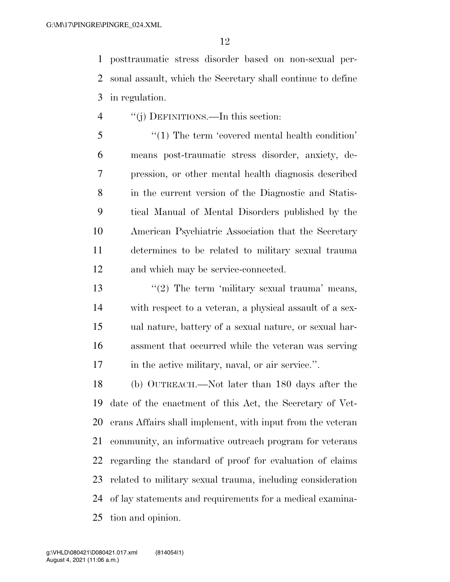posttraumatic stress disorder based on non-sexual per- sonal assault, which the Secretary shall continue to define in regulation.

''(j) DEFINITIONS.—In this section:

 ''(1) The term 'covered mental health condition' means post-traumatic stress disorder, anxiety, de- pression, or other mental health diagnosis described in the current version of the Diagnostic and Statis- tical Manual of Mental Disorders published by the American Psychiatric Association that the Secretary determines to be related to military sexual trauma and which may be service-connected.

 $\frac{1}{2}$  The term 'military sexual trauma' means, with respect to a veteran, a physical assault of a sex- ual nature, battery of a sexual nature, or sexual har- assment that occurred while the veteran was serving 17 in the active military, naval, or air service.".

 (b) OUTREACH.—Not later than 180 days after the date of the enactment of this Act, the Secretary of Vet- erans Affairs shall implement, with input from the veteran community, an informative outreach program for veterans regarding the standard of proof for evaluation of claims related to military sexual trauma, including consideration of lay statements and requirements for a medical examina-tion and opinion.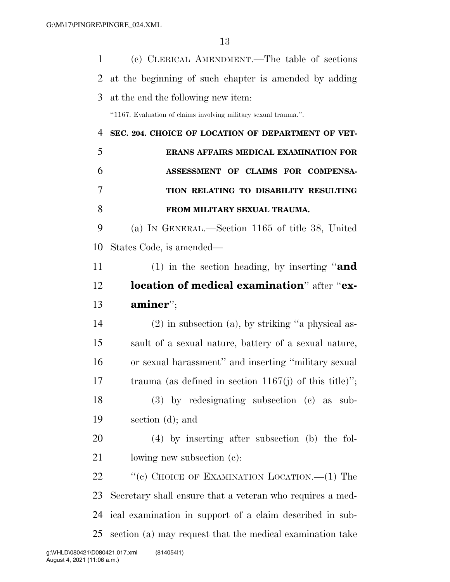| $\mathbf{1}$ | (c) CLERICAL AMENDMENT.—The table of sections                   |
|--------------|-----------------------------------------------------------------|
| 2            | at the beginning of such chapter is amended by adding           |
| 3            | at the end the following new item:                              |
|              | "1167. Evaluation of claims involving military sexual trauma.". |
| 4            | SEC. 204. CHOICE OF LOCATION OF DEPARTMENT OF VET-              |
| 5            | ERANS AFFAIRS MEDICAL EXAMINATION FOR                           |
| 6            | ASSESSMENT OF CLAIMS FOR COMPENSA-                              |
| 7            | TION RELATING TO DISABILITY RESULTING                           |
| 8            | FROM MILITARY SEXUAL TRAUMA.                                    |
| 9            | (a) IN GENERAL.—Section 1165 of title 38, United                |
| 10           | States Code, is amended—                                        |
| 11           | (1) in the section heading, by inserting "and                   |
| 12           | location of medical examination" after "ex-                     |
| 13           | $\mathbf{aminer}$ <sup>"</sup> ;                                |
| 14           | $(2)$ in subsection $(a)$ , by striking "a physical as-         |
| 15           | sault of a sexual nature, battery of a sexual nature,           |
| 16           | or sexual harassment" and inserting "military sexual            |
| 17           | trauma (as defined in section $1167(j)$ of this title)";        |
| 18           | $(3)$ by redesignating subsection $(c)$ as sub-                 |
| 19           | section $(d)$ ; and                                             |
| 20           | $(4)$ by inserting after subsection (b) the fol-                |
| 21           | lowing new subsection (c):                                      |
| 22           | "(c) CHOICE OF EXAMINATION LOCATION.—(1) The                    |
| 23           | Secretary shall ensure that a veteran who requires a med-       |
| 24           | ical examination in support of a claim described in sub-        |
| 25           | section (a) may request that the medical examination take       |
|              |                                                                 |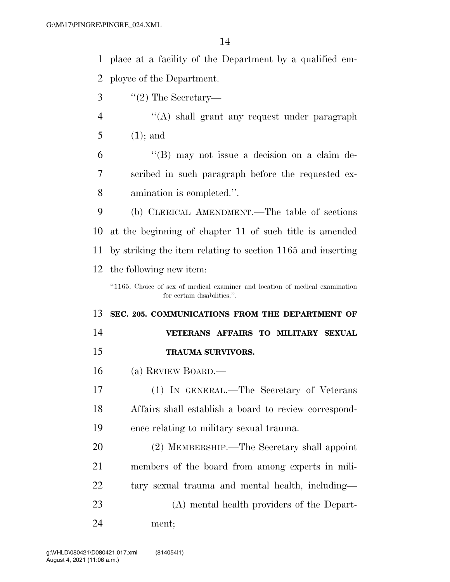| 1              | place at a facility of the Department by a qualified em-                     |
|----------------|------------------------------------------------------------------------------|
| 2              | ployee of the Department.                                                    |
| 3              | $\lq(2)$ The Secretary—                                                      |
| $\overline{4}$ | "(A) shall grant any request under paragraph                                 |
| 5              | $(1)$ ; and                                                                  |
| 6              | $\lq\lq (B)$ may not issue a decision on a claim de-                         |
| 7              | scribed in such paragraph before the requested ex-                           |
| 8              | amination is completed.".                                                    |
| 9              | (b) CLERICAL AMENDMENT.—The table of sections                                |
| 10             | at the beginning of chapter 11 of such title is amended                      |
| 11             | by striking the item relating to section 1165 and inserting                  |
| 12             | the following new item:                                                      |
|                | "1165. Choice of sex of medical examiner and location of medical examination |
|                | for certain disabilities.".                                                  |
| 13             | SEC. 205. COMMUNICATIONS FROM THE DEPARTMENT OF                              |
| 14             | VETERANS AFFAIRS TO MILITARY SEXUAL                                          |
| 15             | <b>TRAUMA SURVIVORS.</b>                                                     |
| 16             | (a) REVIEW BOARD.—                                                           |
| 17             | (1) IN GENERAL.—The Secretary of Veterans                                    |
| 18             | Affairs shall establish a board to review correspond-                        |
| 19             | ence relating to military sexual trauma.                                     |
| 20             | (2) MEMBERSHIP.—The Secretary shall appoint                                  |
| 21             | members of the board from among experts in mili-                             |
| 22             | tary sexual trauma and mental health, including—                             |
| 23             | (A) mental health providers of the Depart-                                   |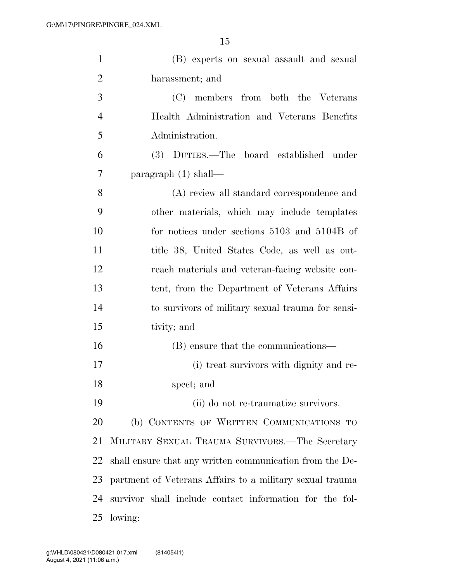| $\mathbf{1}$   | (B) experts on sexual assault and sexual                 |
|----------------|----------------------------------------------------------|
| $\overline{2}$ | harassment; and                                          |
| 3              | (C) members from both the Veterans                       |
| $\overline{4}$ | Health Administration and Veterans Benefits              |
| 5              | Administration.                                          |
| 6              | (3) DUTIES.—The board established under                  |
| $\tau$         | paragraph $(1)$ shall—                                   |
| 8              | (A) review all standard correspondence and               |
| 9              | other materials, which may include templates             |
| 10             | for notices under sections 5103 and 5104B of             |
| 11             | title 38, United States Code, as well as out-            |
| 12             | reach materials and veteran-facing website con-          |
| 13             | tent, from the Department of Veterans Affairs            |
| 14             | to survivors of military sexual trauma for sensi-        |
| 15             | tivity; and                                              |
| 16             | (B) ensure that the communications—                      |
| 17             | (i) treat survivors with dignity and re-                 |
| 18             | spect; and                                               |
| 19             | (ii) do not re-traumatize survivors.                     |
| <b>20</b>      | (b) CONTENTS OF WRITTEN COMMUNICATIONS TO                |
| 21             | MILITARY SEXUAL TRAUMA SURVIVORS.—The Secretary          |
| 22             | shall ensure that any written communication from the De- |
| 23             | partment of Veterans Affairs to a military sexual trauma |
| 24             | survivor shall include contact information for the fol-  |
| 25             | lowing:                                                  |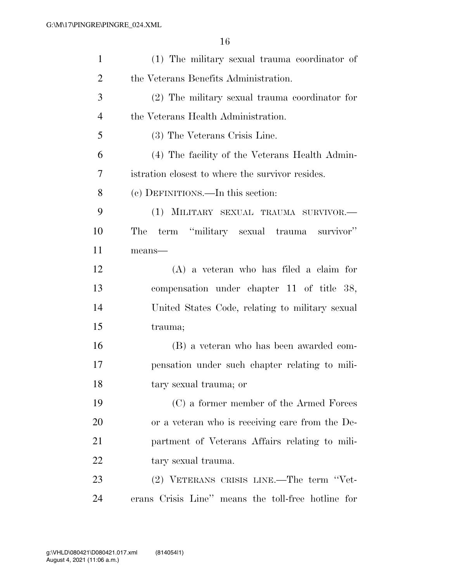| $\mathbf{1}$   | (1) The military sexual trauma coordinator of      |
|----------------|----------------------------------------------------|
| $\overline{2}$ | the Veterans Benefits Administration.              |
| 3              | (2) The military sexual trauma coordinator for     |
| $\overline{4}$ | the Veterans Health Administration.                |
| 5              | (3) The Veterans Crisis Line.                      |
| 6              | (4) The facility of the Veterans Health Admin-     |
| 7              | istration closest to where the survivor resides.   |
| 8              | (c) DEFINITIONS.—In this section:                  |
| 9              | (1) MILITARY SEXUAL TRAUMA SURVIVOR.-              |
| 10             | term "military sexual trauma survivor"<br>The      |
| 11             | means-                                             |
| 12             | $(A)$ a veteran who has filed a claim for          |
| 13             | compensation under chapter 11 of title 38,         |
| 14             | United States Code, relating to military sexual    |
| 15             | trauma;                                            |
| 16             | (B) a veteran who has been awarded com-            |
| 17             | pensation under such chapter relating to mili-     |
| 18             | tary sexual trauma; or                             |
| 19             | (C) a former member of the Armed Forces            |
| 20             | or a veteran who is receiving care from the De-    |
| 21             | partment of Veterans Affairs relating to mili-     |
| 22             | tary sexual trauma.                                |
| 23             | (2) VETERANS CRISIS LINE.—The term "Vet-           |
| 24             | erans Crisis Line" means the toll-free hotline for |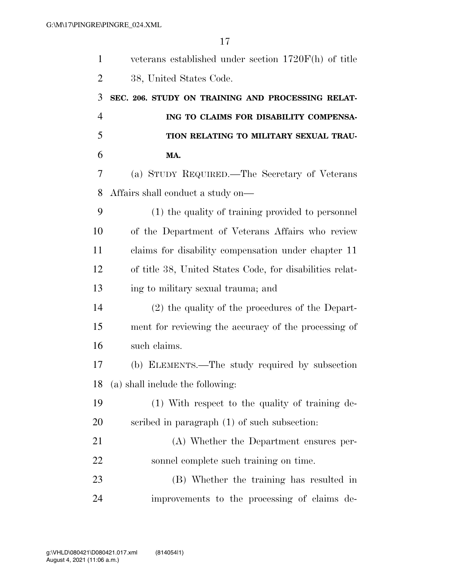| $\mathbf{1}$   | veterans established under section 1720F(h) of title     |
|----------------|----------------------------------------------------------|
| $\overline{2}$ | 38, United States Code.                                  |
| 3              | SEC. 206. STUDY ON TRAINING AND PROCESSING RELAT-        |
| $\overline{4}$ | ING TO CLAIMS FOR DISABILITY COMPENSA-                   |
| 5              | TION RELATING TO MILITARY SEXUAL TRAU-                   |
| 6              | MA.                                                      |
| 7              | (a) STUDY REQUIRED.—The Secretary of Veterans            |
| 8              | Affairs shall conduct a study on—                        |
| 9              | (1) the quality of training provided to personnel        |
| 10             | of the Department of Veterans Affairs who review         |
| 11             | claims for disability compensation under chapter 11      |
| 12             | of title 38, United States Code, for disabilities relat- |
| 13             | ing to military sexual trauma; and                       |
| 14             | (2) the quality of the procedures of the Depart-         |
| 15             | ment for reviewing the accuracy of the processing of     |
| 16             | such claims.                                             |
| 17             | (b) ELEMENTS.—The study required by subsection           |
| 18             | (a) shall include the following:                         |
| 19             | (1) With respect to the quality of training de-          |
| 20             | scribed in paragraph (1) of such subsection:             |
| 21             | (A) Whether the Department ensures per-                  |
| 22             | sonnel complete such training on time.                   |
| 23             | (B) Whether the training has resulted in                 |
| 24             | improvements to the processing of claims de-             |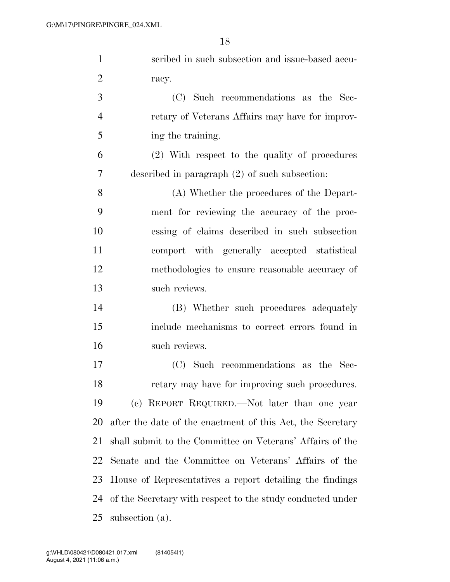| $\mathbf{1}$   | scribed in such subsection and issue-based accu-           |
|----------------|------------------------------------------------------------|
| $\overline{2}$ | racy.                                                      |
| 3              | (C) Such recommendations as the Sec-                       |
| $\overline{4}$ | retary of Veterans Affairs may have for improv-            |
| 5              | ing the training.                                          |
| 6              | (2) With respect to the quality of procedures              |
| 7              | described in paragraph $(2)$ of such subsection:           |
| 8              | (A) Whether the procedures of the Depart-                  |
| 9              | ment for reviewing the accuracy of the proc-               |
| 10             | essing of claims described in such subsection              |
| 11             | comport with generally accepted statistical                |
| 12             | methodologies to ensure reasonable accuracy of             |
| 13             | such reviews.                                              |
| 14             | (B) Whether such procedures adequately                     |
| 15             | include mechanisms to correct errors found in              |
| 16             | such reviews.                                              |
| 17             | (C) Such recommendations as the Sec-                       |
| 18             | retary may have for improving such procedures.             |
| 19             | (c) REPORT REQUIRED.—Not later than one year               |
| 20             | after the date of the enactment of this Act, the Secretary |
| 21             | shall submit to the Committee on Veterans' Affairs of the  |
| 22             | Senate and the Committee on Veterans' Affairs of the       |
| 23             | House of Representatives a report detailing the findings   |
| 24             | of the Secretary with respect to the study conducted under |
| 25             | subsection (a).                                            |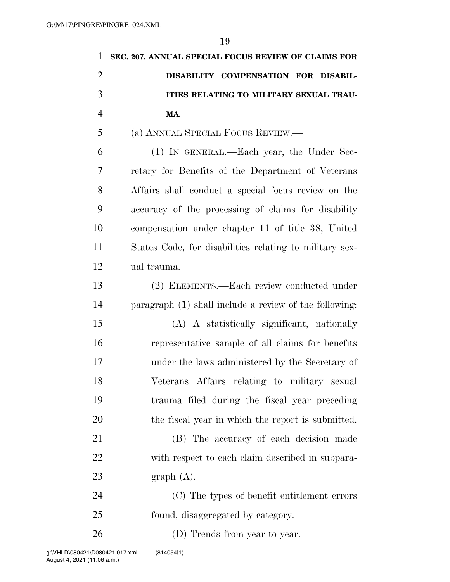| 1              | SEC. 207. ANNUAL SPECIAL FOCUS REVIEW OF CLAIMS FOR      |
|----------------|----------------------------------------------------------|
| $\overline{2}$ | DISABILITY COMPENSATION FOR DISABIL-                     |
| 3              | ITIES RELATING TO MILITARY SEXUAL TRAU-                  |
| $\overline{4}$ | MA.                                                      |
| 5              | (a) ANNUAL SPECIAL FOCUS REVIEW.—                        |
| 6              | (1) IN GENERAL.—Each year, the Under Sec-                |
| 7              | retary for Benefits of the Department of Veterans        |
| 8              | Affairs shall conduct a special focus review on the      |
| 9              | accuracy of the processing of claims for disability      |
| 10             | compensation under chapter 11 of title 38, United        |
| 11             | States Code, for disabilities relating to military sex-  |
| 12             | ual trauma.                                              |
| 13             | (2) ELEMENTS.—Each review conducted under                |
| 14             | paragraph $(1)$ shall include a review of the following: |
| 15             | (A) A statistically significant, nationally              |
| 16             | representative sample of all claims for benefits         |
| 17             | under the laws administered by the Secretary of          |
| 18             | Veterans Affairs relating to military sexual             |
| 19             | trauma filed during the fiscal year preceding            |
| 20             | the fiscal year in which the report is submitted.        |
| 21             | (B) The accuracy of each decision made                   |
| 22             | with respect to each claim described in subpara-         |
| 23             | graph(A).                                                |
| 24             | (C) The types of benefit entitlement errors              |
| 25             | found, disaggregated by category.                        |
| 26             | (D) Trends from year to year.                            |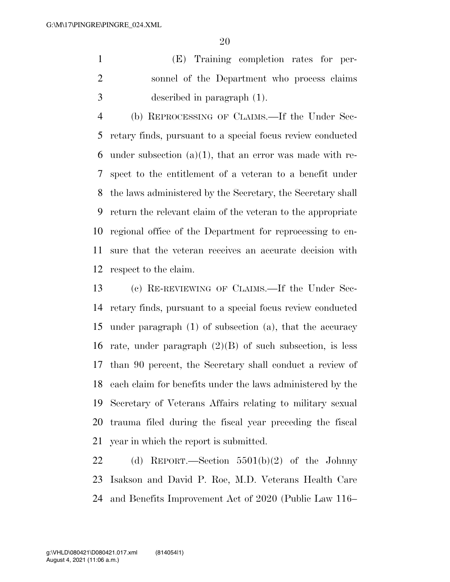(E) Training completion rates for per- sonnel of the Department who process claims described in paragraph (1).

 (b) REPROCESSING OF CLAIMS.—If the Under Sec- retary finds, pursuant to a special focus review conducted 6 under subsection  $(a)(1)$ , that an error was made with re- spect to the entitlement of a veteran to a benefit under the laws administered by the Secretary, the Secretary shall return the relevant claim of the veteran to the appropriate regional office of the Department for reprocessing to en- sure that the veteran receives an accurate decision with respect to the claim.

 (c) RE-REVIEWING OF CLAIMS.—If the Under Sec- retary finds, pursuant to a special focus review conducted under paragraph (1) of subsection (a), that the accuracy 16 rate, under paragraph  $(2)(B)$  of such subsection, is less than 90 percent, the Secretary shall conduct a review of each claim for benefits under the laws administered by the Secretary of Veterans Affairs relating to military sexual trauma filed during the fiscal year preceding the fiscal year in which the report is submitted.

 (d) REPORT.—Section 5501(b)(2) of the Johnny Isakson and David P. Roe, M.D. Veterans Health Care and Benefits Improvement Act of 2020 (Public Law 116–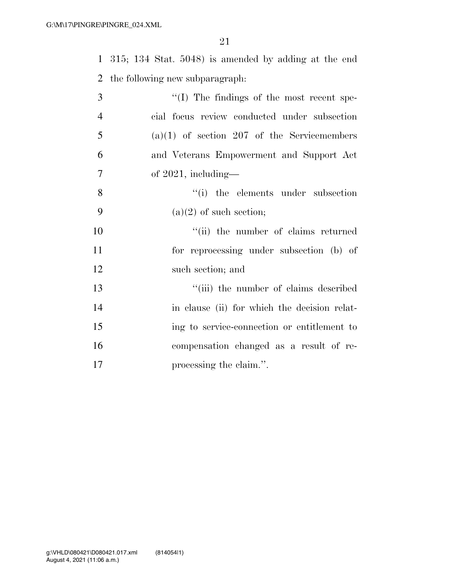315; 134 Stat. 5048) is amended by adding at the end the following new subparagraph:

| 3              | $\lq\lq$ (I) The findings of the most recent spe- |
|----------------|---------------------------------------------------|
| $\overline{4}$ | cial focus review conducted under subsection      |
| 5              | $(a)(1)$ of section 207 of the Servicemembers     |
| 6              | and Veterans Empowerment and Support Act          |
| $\overline{7}$ | of $2021$ , including-                            |
| 8              | "(i) the elements under subsection                |
| 9              | $(a)(2)$ of such section;                         |
| 10             | "(ii) the number of claims returned               |
| 11             | for reprocessing under subsection (b) of          |
| 12             | such section; and                                 |
| 13             | "(iii) the number of claims described             |
| 14             | in clause (ii) for which the decision relat-      |
| 15             | ing to service-connection or entitlement to       |
| 16             | compensation changed as a result of re-           |
| 17             | processing the claim.".                           |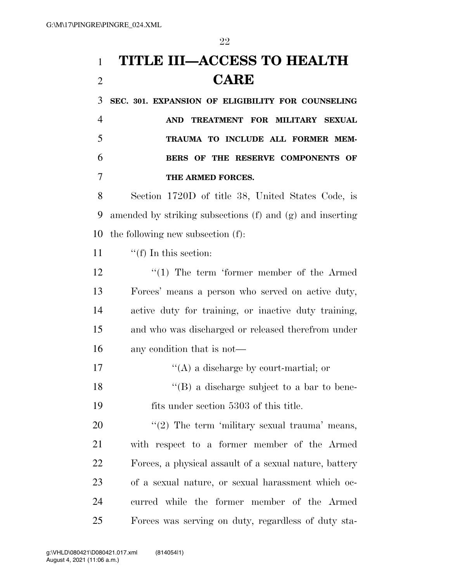# **TITLE III—ACCESS TO HEALTH CARE**

 **SEC. 301. EXPANSION OF ELIGIBILITY FOR COUNSELING AND TREATMENT FOR MILITARY SEXUAL TRAUMA TO INCLUDE ALL FORMER MEM- BERS OF THE RESERVE COMPONENTS OF THE ARMED FORCES.** 

 Section 1720D of title 38, United States Code, is amended by striking subsections (f) and (g) and inserting the following new subsection (f):

11  $\frac{f'(f)}{f}$  In this section:

12 ''(1) The term 'former member of the Armed Forces' means a person who served on active duty, active duty for training, or inactive duty training, and who was discharged or released therefrom under any condition that is not—

17  $\langle (A)$  a discharge by court-martial; or

18 ''(B) a discharge subject to a bar to bene-fits under section 5303 of this title.

 $\frac{u(2)}{2}$  The term 'military sexual trauma' means, with respect to a former member of the Armed Forces, a physical assault of a sexual nature, battery of a sexual nature, or sexual harassment which oc- curred while the former member of the Armed Forces was serving on duty, regardless of duty sta-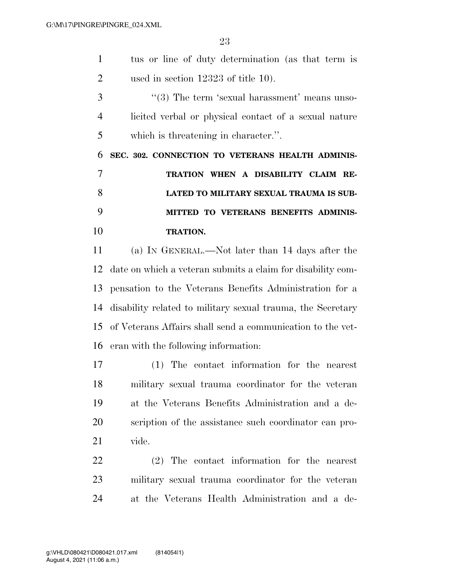tus or line of duty determination (as that term is used in section 12323 of title 10). 3 ''(3) The term 'sexual harassment' means unso- licited verbal or physical contact of a sexual nature which is threatening in character.''. **SEC. 302. CONNECTION TO VETERANS HEALTH ADMINIS- TRATION WHEN A DISABILITY CLAIM RE- LATED TO MILITARY SEXUAL TRAUMA IS SUB- MITTED TO VETERANS BENEFITS ADMINIS- TRATION.**  (a) IN GENERAL.—Not later than 14 days after the date on which a veteran submits a claim for disability com- pensation to the Veterans Benefits Administration for a disability related to military sexual trauma, the Secretary of Veterans Affairs shall send a communication to the vet-

eran with the following information:

 (1) The contact information for the nearest military sexual trauma coordinator for the veteran at the Veterans Benefits Administration and a de- scription of the assistance such coordinator can pro-vide.

 (2) The contact information for the nearest military sexual trauma coordinator for the veteran at the Veterans Health Administration and a de-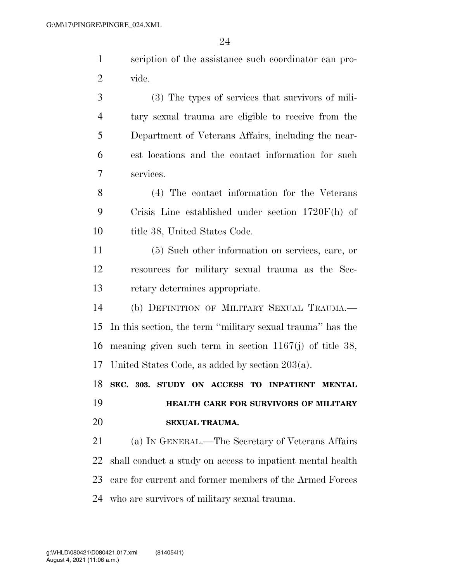|         | scription of the assistance such coordinator can pro- |
|---------|-------------------------------------------------------|
| 2 vide. |                                                       |

 (3) The types of services that survivors of mili- tary sexual trauma are eligible to receive from the Department of Veterans Affairs, including the near- est locations and the contact information for such services.

 (4) The contact information for the Veterans Crisis Line established under section 1720F(h) of 10 title 38, United States Code.

 (5) Such other information on services, care, or resources for military sexual trauma as the Sec-retary determines appropriate.

 (b) DEFINITION OF MILITARY SEXUAL TRAUMA.— In this section, the term ''military sexual trauma'' has the meaning given such term in section 1167(j) of title 38, United States Code, as added by section 203(a).

 **SEC. 303. STUDY ON ACCESS TO INPATIENT MENTAL HEALTH CARE FOR SURVIVORS OF MILITARY SEXUAL TRAUMA.** 

 (a) IN GENERAL.—The Secretary of Veterans Affairs shall conduct a study on access to inpatient mental health care for current and former members of the Armed Forces who are survivors of military sexual trauma.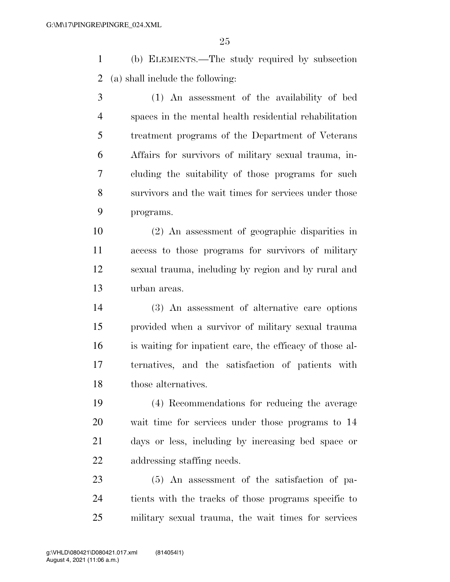(b) ELEMENTS.—The study required by subsection (a) shall include the following:

 (1) An assessment of the availability of bed spaces in the mental health residential rehabilitation treatment programs of the Department of Veterans Affairs for survivors of military sexual trauma, in- cluding the suitability of those programs for such survivors and the wait times for services under those programs.

 (2) An assessment of geographic disparities in access to those programs for survivors of military sexual trauma, including by region and by rural and urban areas.

 (3) An assessment of alternative care options provided when a survivor of military sexual trauma is waiting for inpatient care, the efficacy of those al- ternatives, and the satisfaction of patients with those alternatives.

 (4) Recommendations for reducing the average wait time for services under those programs to 14 days or less, including by increasing bed space or addressing staffing needs.

 (5) An assessment of the satisfaction of pa- tients with the tracks of those programs specific to military sexual trauma, the wait times for services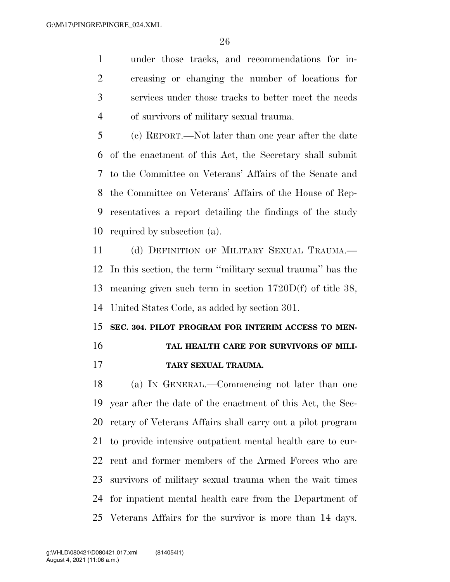under those tracks, and recommendations for in- creasing or changing the number of locations for services under those tracks to better meet the needs of survivors of military sexual trauma.

 (c) REPORT.—Not later than one year after the date of the enactment of this Act, the Secretary shall submit to the Committee on Veterans' Affairs of the Senate and the Committee on Veterans' Affairs of the House of Rep- resentatives a report detailing the findings of the study required by subsection (a).

 (d) DEFINITION OF MILITARY SEXUAL TRAUMA.— In this section, the term ''military sexual trauma'' has the meaning given such term in section 1720D(f) of title 38, United States Code, as added by section 301.

### **SEC. 304. PILOT PROGRAM FOR INTERIM ACCESS TO MEN-TAL HEALTH CARE FOR SURVIVORS OF MILI-**

**TARY SEXUAL TRAUMA.** 

 (a) IN GENERAL.—Commencing not later than one year after the date of the enactment of this Act, the Sec- retary of Veterans Affairs shall carry out a pilot program to provide intensive outpatient mental health care to cur- rent and former members of the Armed Forces who are survivors of military sexual trauma when the wait times for inpatient mental health care from the Department of Veterans Affairs for the survivor is more than 14 days.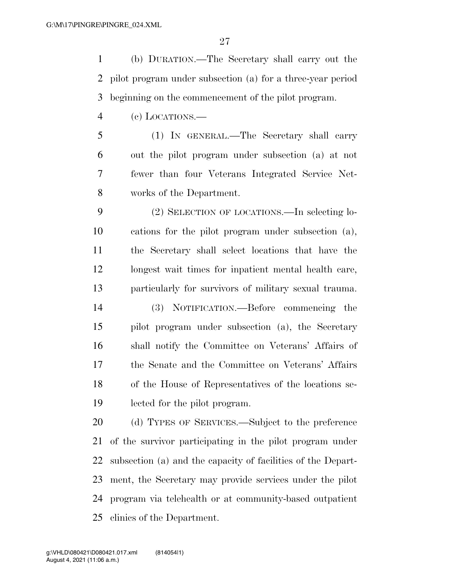(b) DURATION.—The Secretary shall carry out the pilot program under subsection (a) for a three-year period beginning on the commencement of the pilot program.

(c) LOCATIONS.—

 (1) IN GENERAL.—The Secretary shall carry out the pilot program under subsection (a) at not fewer than four Veterans Integrated Service Net-works of the Department.

 (2) SELECTION OF LOCATIONS.—In selecting lo- cations for the pilot program under subsection (a), the Secretary shall select locations that have the longest wait times for inpatient mental health care, particularly for survivors of military sexual trauma.

 (3) NOTIFICATION.—Before commencing the pilot program under subsection (a), the Secretary shall notify the Committee on Veterans' Affairs of the Senate and the Committee on Veterans' Affairs of the House of Representatives of the locations se-lected for the pilot program.

 (d) TYPES OF SERVICES.—Subject to the preference of the survivor participating in the pilot program under subsection (a) and the capacity of facilities of the Depart- ment, the Secretary may provide services under the pilot program via telehealth or at community-based outpatient clinics of the Department.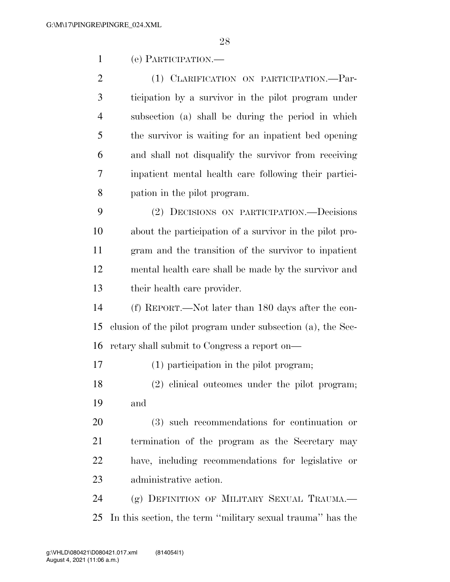(e) PARTICIPATION.—

 (1) CLARIFICATION ON PARTICIPATION.—Par- ticipation by a survivor in the pilot program under subsection (a) shall be during the period in which the survivor is waiting for an inpatient bed opening and shall not disqualify the survivor from receiving inpatient mental health care following their partici-pation in the pilot program.

 (2) DECISIONS ON PARTICIPATION.—Decisions about the participation of a survivor in the pilot pro- gram and the transition of the survivor to inpatient mental health care shall be made by the survivor and their health care provider.

 (f) REPORT.—Not later than 180 days after the con- clusion of the pilot program under subsection (a), the Sec-retary shall submit to Congress a report on—

(1) participation in the pilot program;

 (2) clinical outcomes under the pilot program; and

 (3) such recommendations for continuation or termination of the program as the Secretary may have, including recommendations for legislative or administrative action.

24 (g) DEFINITION OF MILITARY SEXUAL TRAUMA. In this section, the term ''military sexual trauma'' has the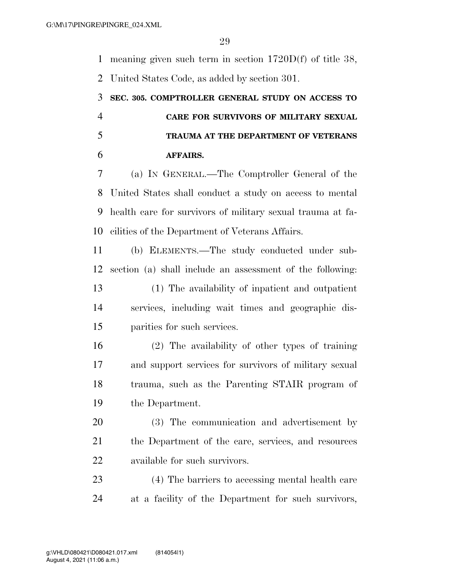meaning given such term in section 1720D(f) of title 38,

United States Code, as added by section 301.

## **SEC. 305. COMPTROLLER GENERAL STUDY ON ACCESS TO CARE FOR SURVIVORS OF MILITARY SEXUAL TRAUMA AT THE DEPARTMENT OF VETERANS AFFAIRS.**

 (a) IN GENERAL.—The Comptroller General of the United States shall conduct a study on access to mental health care for survivors of military sexual trauma at fa-cilities of the Department of Veterans Affairs.

 (b) ELEMENTS.—The study conducted under sub-section (a) shall include an assessment of the following:

 (1) The availability of inpatient and outpatient services, including wait times and geographic dis-parities for such services.

 (2) The availability of other types of training and support services for survivors of military sexual trauma, such as the Parenting STAIR program of the Department.

 (3) The communication and advertisement by the Department of the care, services, and resources available for such survivors.

 (4) The barriers to accessing mental health care at a facility of the Department for such survivors,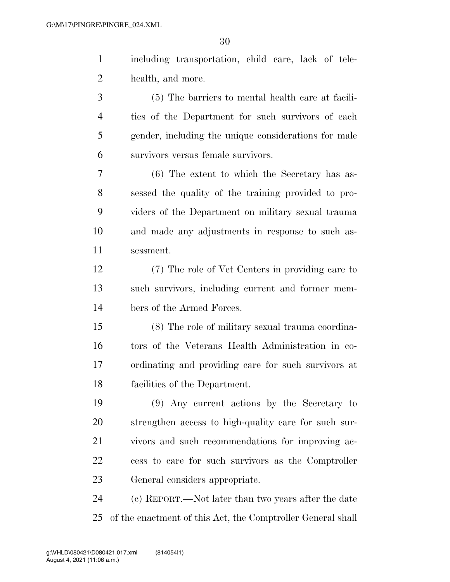including transportation, child care, lack of tele-health, and more.

 (5) The barriers to mental health care at facili- ties of the Department for such survivors of each gender, including the unique considerations for male survivors versus female survivors.

 (6) The extent to which the Secretary has as- sessed the quality of the training provided to pro- viders of the Department on military sexual trauma and made any adjustments in response to such as-sessment.

 (7) The role of Vet Centers in providing care to such survivors, including current and former mem-bers of the Armed Forces.

 (8) The role of military sexual trauma coordina- tors of the Veterans Health Administration in co- ordinating and providing care for such survivors at facilities of the Department.

 (9) Any current actions by the Secretary to strengthen access to high-quality care for such sur- vivors and such recommendations for improving ac- cess to care for such survivors as the Comptroller General considers appropriate.

 (c) REPORT.—Not later than two years after the date of the enactment of this Act, the Comptroller General shall